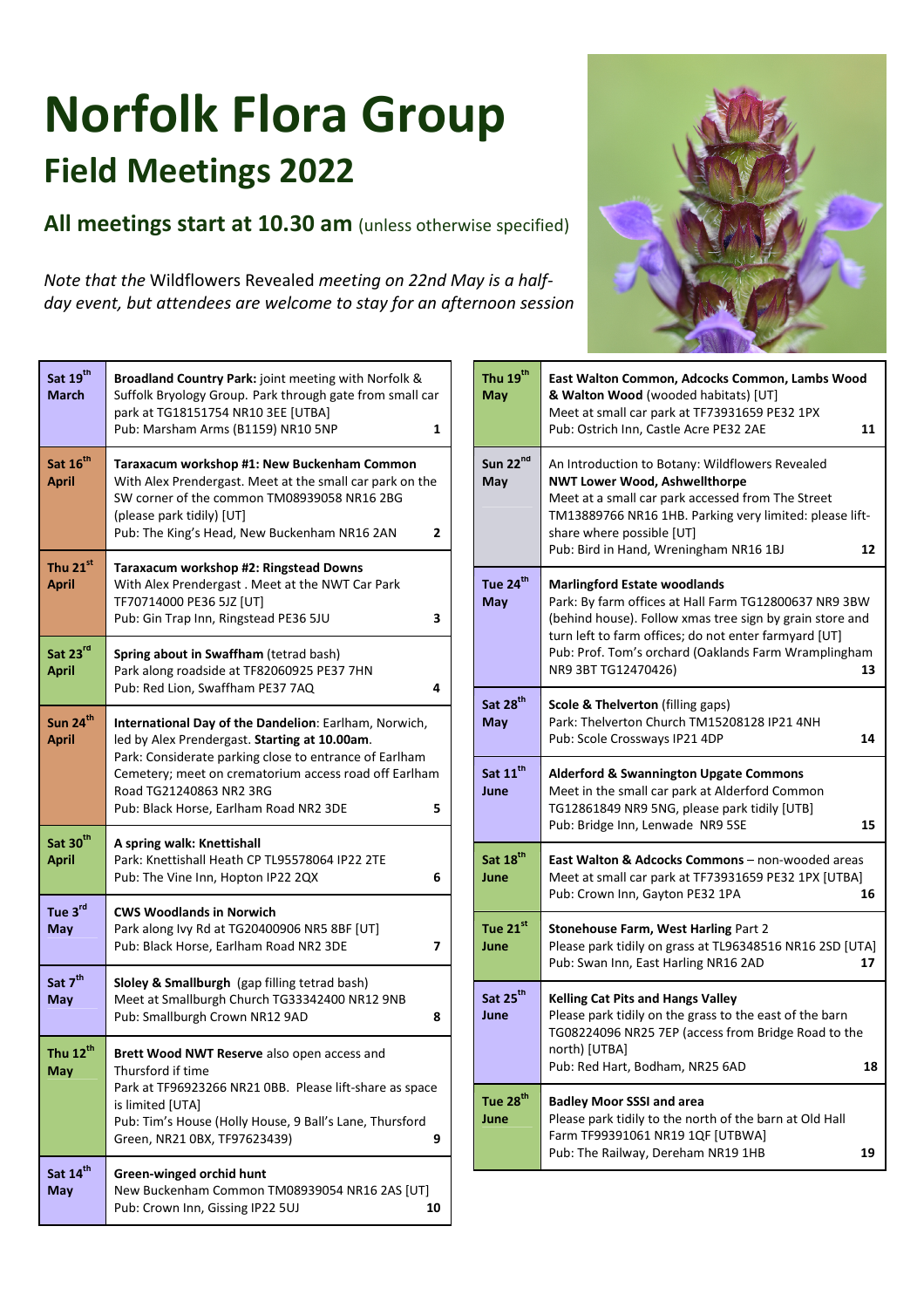## **Norfolk Flora Group Field Meetings 2022**

**All meetings start at 10.30 am** (unless otherwise specified)

*Note that the* Wildflowers Revealed *meeting on 22nd May is a halfday event, but attendees are welcome to stay for an afternoon session* 

| Sat 19 <sup>th</sup><br><b>March</b> | <b>Broadland Country Park:</b> joint meeting with Norfolk &<br>Suffolk Bryology Group. Park through gate from small car<br>park at TG18151754 NR10 3EE [UTBA]<br>Pub: Marsham Arms (B1159) NR10 5NP<br>1                                                                                            |
|--------------------------------------|-----------------------------------------------------------------------------------------------------------------------------------------------------------------------------------------------------------------------------------------------------------------------------------------------------|
| Sat 16 <sup>th</sup><br><b>April</b> | Taraxacum workshop #1: New Buckenham Common<br>With Alex Prendergast. Meet at the small car park on the<br>SW corner of the common TM08939058 NR16 2BG<br>(please park tidily) [UT]<br>Pub: The King's Head, New Buckenham NR16 2AN<br>2                                                            |
| Thu 21st<br>April                    | Taraxacum workshop #2: Ringstead Downs<br>With Alex Prendergast. Meet at the NWT Car Park<br>TF70714000 PE36 5JZ [UT]<br>Pub: Gin Trap Inn, Ringstead PE36 5JU<br>3                                                                                                                                 |
| Sat 23rd<br><b>April</b>             | Spring about in Swaffham (tetrad bash)<br>Park along roadside at TF82060925 PE37 7HN<br>Pub: Red Lion, Swaffham PE37 7AQ<br>4                                                                                                                                                                       |
| Sun 24 <sup>th</sup><br><b>April</b> | International Day of the Dandelion: Earlham, Norwich,<br>led by Alex Prendergast. Starting at 10.00am.<br>Park: Considerate parking close to entrance of Earlham<br>Cemetery; meet on crematorium access road off Earlham<br>Road TG21240863 NR2 3RG<br>Pub: Black Horse, Earlham Road NR2 3DE<br>5 |
| Sat $30th$<br><b>April</b>           | A spring walk: Knettishall<br>Park: Knettishall Heath CP TL95578064 IP22 2TE<br>Pub: The Vine Inn, Hopton IP22 2QX<br>6                                                                                                                                                                             |
| Tue 3rd<br>May                       | <b>CWS Woodlands in Norwich</b><br>Park along Ivy Rd at TG20400906 NR5 8BF [UT]<br>Pub: Black Horse, Earlham Road NR2 3DE<br>7                                                                                                                                                                      |
| Sat 7 <sup>th</sup><br>May           | Sloley & Smallburgh (gap filling tetrad bash)<br>Meet at Smallburgh Church TG33342400 NR12 9NB<br>Pub: Smallburgh Crown NR12 9AD<br>8                                                                                                                                                               |
| Thu 12 $^{\text{th}}$<br>May         | <b>Brett Wood NWT Reserve</b> also open access and<br>Thursford if time<br>Park at TF96923266 NR21 OBB. Please lift-share as space<br>is limited [UTA]<br>Pub: Tim's House (Holly House, 9 Ball's Lane, Thursford<br>Green, NR21 0BX, TF97623439)<br>9                                              |
| Sat 14th<br><b>May</b>               | Green-winged orchid hunt<br>New Buckenham Common TM08939054 NR16 2AS [UT]<br>Pub: Crown Inn, Gissing IP22 5UJ<br>10                                                                                                                                                                                 |



| Thu 19 <sup>th</sup><br>May   | East Walton Common, Adcocks Common, Lambs Wood<br>& Walton Wood (wooded habitats) [UT]<br>Meet at small car park at TF73931659 PE32 1PX<br>Pub: Ostrich Inn, Castle Acre PE32 2AE<br>11                                                                                                                |
|-------------------------------|--------------------------------------------------------------------------------------------------------------------------------------------------------------------------------------------------------------------------------------------------------------------------------------------------------|
| Sun 22 <sup>nd</sup><br>May   | An Introduction to Botany: Wildflowers Revealed<br><b>NWT Lower Wood, Ashwellthorpe</b><br>Meet at a small car park accessed from The Street<br>TM13889766 NR16 1HB. Parking very limited: please lift-<br>share where possible [UT]<br>Pub: Bird in Hand, Wreningham NR16 1BJ<br>12                   |
| Tue 24 <sup>th</sup><br>May   | <b>Marlingford Estate woodlands</b><br>Park: By farm offices at Hall Farm TG12800637 NR9 3BW<br>(behind house). Follow xmas tree sign by grain store and<br>turn left to farm offices; do not enter farmyard [UT]<br>Pub: Prof. Tom's orchard (Oaklands Farm Wramplingham<br>NR9 3BT TG12470426)<br>13 |
| Sat 28 <sup>th</sup><br>May   | Scole & Thelverton (filling gaps)<br>Park: Thelverton Church TM15208128 IP21 4NH<br>Pub: Scole Crossways IP21 4DP<br>14                                                                                                                                                                                |
| Sat $11^{\text{th}}$<br>June  | <b>Alderford &amp; Swannington Upgate Commons</b><br>Meet in the small car park at Alderford Common<br>TG12861849 NR9 5NG, please park tidily [UTB]<br>Pub: Bridge Inn, Lenwade NR9 5SE<br>15                                                                                                          |
| Sat 18 <sup>th</sup><br>June  | East Walton & Adcocks Commons - non-wooded areas<br>Meet at small car park at TF73931659 PE32 1PX [UTBA]<br>Pub: Crown Inn, Gayton PE32 1PA<br>16                                                                                                                                                      |
| Tue $21^{\rm st}$<br>June     | Stonehouse Farm, West Harling Part 2<br>Please park tidily on grass at TL96348516 NR16 2SD [UTA]<br>Pub: Swan Inn, East Harling NR16 2AD<br>17                                                                                                                                                         |
| Sat 25 <sup>th</sup><br>June  | <b>Kelling Cat Pits and Hangs Valley</b><br>Please park tidily on the grass to the east of the barn<br>TG08224096 NR25 7EP (access from Bridge Road to the<br>north) [UTBA]<br>Pub: Red Hart, Bodham, NR25 6AD<br>18                                                                                   |
| Tue 28 $^{\text{tn}}$<br>June | <b>Badley Moor SSSI and area</b><br>Please park tidily to the north of the barn at Old Hall<br>Farm TF99391061 NR19 1QF [UTBWA]<br>Pub: The Railway, Dereham NR19 1HB<br>19                                                                                                                            |